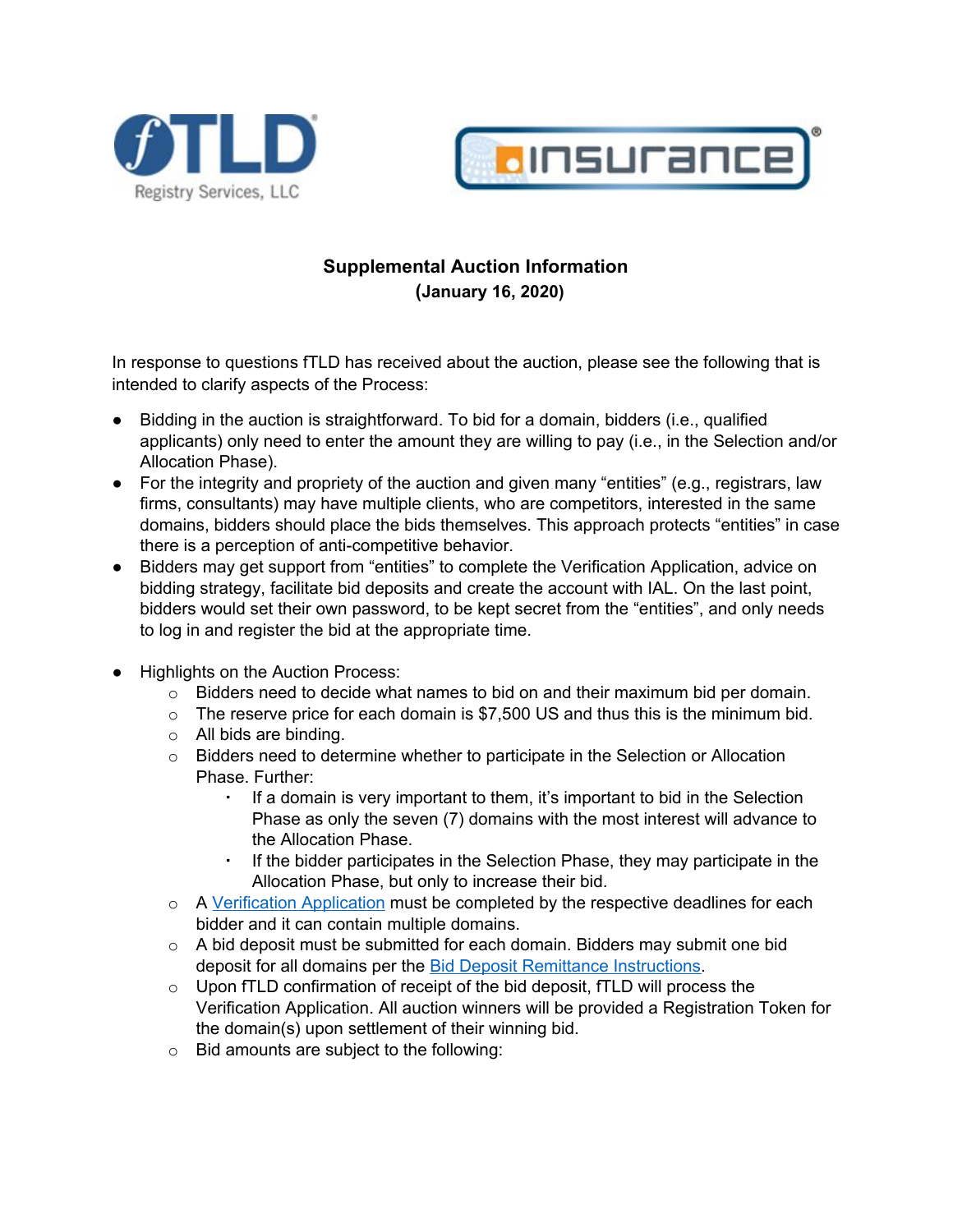



## **Supplemental Auction Information (January 16, 2020)**

In response to questions fTLD has received about the auction, please see the following that is intended to clarify aspects of the Process:

- Bidding in the auction is straightforward. To bid for a domain, bidders (i.e., qualified applicants) only need to enter the amount they are willing to pay (i.e., in the Selection and/or Allocation Phase).
- For the integrity and propriety of the auction and given many "entities" (e.g., registrars, law firms, consultants) may have multiple clients, who are competitors, interested in the same domains, bidders should place the bids themselves. This approach protects "entities" in case there is a perception of anti-competitive behavior.
- Bidders may get support from "entities" to complete the Verification Application, advice on bidding strategy, facilitate bid deposits and create the account with IAL. On the last point, bidders would set their own password, to be kept secret from the "entities", and only needs to log in and register the bid at the appropriate time.
- Highlights on the Auction Process:
	- $\circ$  Bidders need to decide what names to bid on and their maximum bid per domain.
	- $\circ$  The reserve price for each domain is \$7,500 US and thus this is the minimum bid.
	- o All bids are binding.
	- $\circ$  Bidders need to determine whether to participate in the Selection or Allocation Phase. Further:
		- If a domain is very important to them, it's important to bid in the Selection Phase as only the seven (7) domains with the most interest will advance to the Allocation Phase.
		- If the bidder participates in the Selection Phase, they may participate in the Allocation Phase, but only to increase their bid.
	- o A [Verification](https://www.register.insurance/get-started/) Application must be completed by the respective deadlines for each bidder and it can contain multiple domains.
	- $\circ$  A bid deposit must be submitted for each domain. Bidders may submit one bid deposit for all domains per the **Bid Deposit Remittance Instructions**.
	- $\circ$  Upon fTLD confirmation of receipt of the bid deposit, fTLD will process the Verification Application. All auction winners will be provided a Registration Token for the domain(s) upon settlement of their winning bid.
	- o Bid amounts are subject to the following: